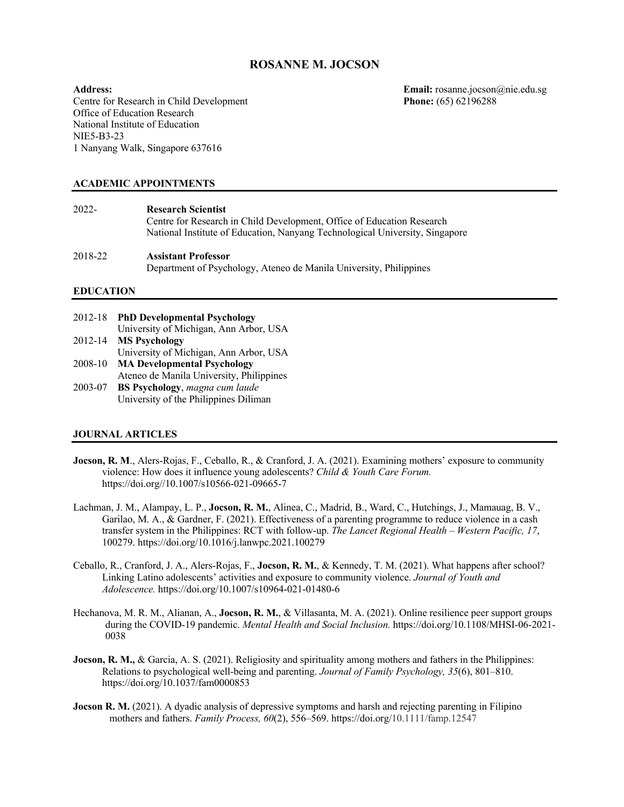# **ROSANNE M. JOCSON**

Centre for Research in Child Development Office of Education Research National Institute of Education NIE5-B3-23 1 Nanyang Walk, Singapore 637616

Address:<br> **Email:** rosanne.jocson@nie.edu.sg<br> **Centre for Research in Child Development**<br> **Phone:** (65) 62196288

# **ACADEMIC APPOINTMENTS**

| 2022-   | <b>Research Scientist</b><br>Centre for Research in Child Development, Office of Education Research<br>National Institute of Education, Nanyang Technological University, Singapore |
|---------|-------------------------------------------------------------------------------------------------------------------------------------------------------------------------------------|
| 2018-22 | <b>Assistant Professor</b><br>Department of Psychology, Ateneo de Manila University, Philippines                                                                                    |

# **EDUCATION**

| 2012-18 | <b>PhD Developmental Psychology</b>      |
|---------|------------------------------------------|
|         | University of Michigan, Ann Arbor, USA   |
| 2012-14 | <b>MS Psychology</b>                     |
|         | University of Michigan, Ann Arbor, USA   |
| 2008-10 | <b>MA Developmental Psychology</b>       |
|         | Ateneo de Manila University, Philippines |
| 2003-07 | <b>BS Psychology</b> , magna cum laude   |
|         | University of the Philippines Diliman    |

## **JOURNAL ARTICLES**

- **Jocson, R. M., Alers-Rojas, F., Ceballo, R., & Cranford, J. A. (2021). Examining mothers' exposure to community** violence: How does it influence young adolescents? *Child & Youth Care Forum.* https://doi.org//10.1007/s10566-021-09665-7
- Lachman, J. M., Alampay, L. P., **Jocson, R. M.**, Alinea, C., Madrid, B., Ward, C., Hutchings, J., Mamauag, B. V., Garilao, M. A., & Gardner, F. (2021). Effectiveness of a parenting programme to reduce violence in a cash transfer system in the Philippines: RCT with follow-up. *The Lancet Regional Health – Western Pacific, 17*, 100279. https://doi.org/10.1016/j.lanwpc.2021.100279
- Ceballo, R., Cranford, J. A., Alers-Rojas, F., **Jocson, R. M.**, & Kennedy, T. M. (2021). What happens after school? Linking Latino adolescents' activities and exposure to community violence. *Journal of Youth and Adolescence.* https://doi.org/10.1007/s10964-021-01480-6
- Hechanova, M. R. M., Alianan, A., **Jocson, R. M.**, & Villasanta, M. A. (2021). Online resilience peer support groups during the COVID-19 pandemic. *Mental Health and Social Inclusion.* https://doi.org/10.1108/MHSI-06-2021- 0038
- **Jocson, R. M., & Garcia, A. S. (2021). Religiosity and spirituality among mothers and fathers in the Philippines:** Relations to psychological well-being and parenting. *Journal of Family Psychology, 35*(6), 801–810. https://doi.org/10.1037/fam0000853
- **Jocson R. M.** (2021). A dyadic analysis of depressive symptoms and harsh and rejecting parenting in Filipino mothers and fathers. *Family Process, 60*(2), 556–569. https://doi.org/10.1111/famp.12547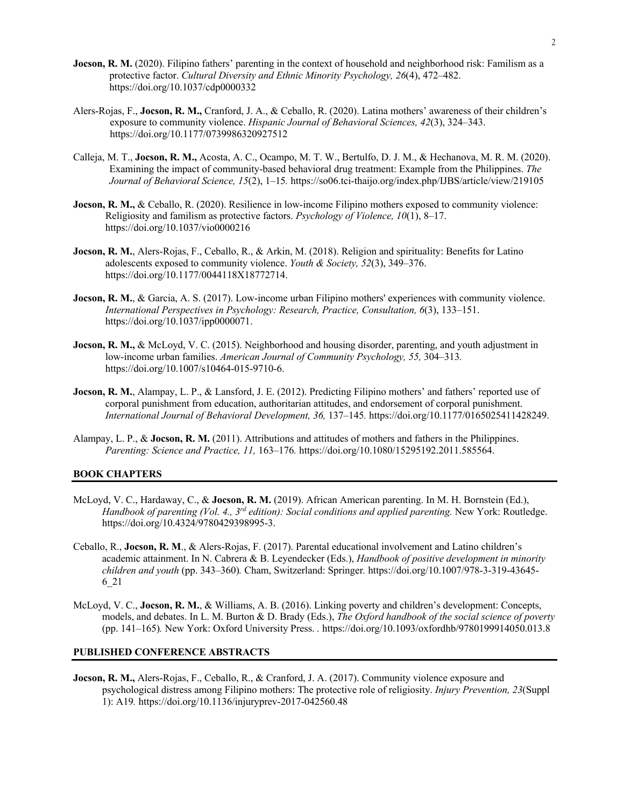- **Jocson, R. M.** (2020). Filipino fathers' parenting in the context of household and neighborhood risk: Familism as a protective factor. *Cultural Diversity and Ethnic Minority Psychology, 26*(4), 472–482. https://doi.org/10.1037/cdp0000332
- Alers-Rojas, F., **Jocson, R. M.,** Cranford, J. A., & Ceballo, R. (2020). Latina mothers' awareness of their children's exposure to community violence. *Hispanic Journal of Behavioral Sciences, 42*(3), 324–343. https://doi.org/10.1177/0739986320927512
- Calleja, M. T., **Jocson, R. M.,** Acosta, A. C., Ocampo, M. T. W., Bertulfo, D. J. M., & Hechanova, M. R. M. (2020). Examining the impact of community-based behavioral drug treatment: Example from the Philippines. *The Journal of Behavioral Science, 15*(2), 1–15*.* https://so06.tci-thaijo.org/index.php/IJBS/article/view/219105
- **Jocson, R. M., & Ceballo, R. (2020). Resilience in low-income Filipino mothers exposed to community violence:** Religiosity and familism as protective factors. *Psychology of Violence, 10*(1), 8–17. https://doi.org/10.1037/vio0000216
- **Jocson, R. M.**, Alers-Rojas, F., Ceballo, R., & Arkin, M. (2018). Religion and spirituality: Benefits for Latino adolescents exposed to community violence. *Youth & Society, 52*(3), 349–376. https://doi.org/10.1177/0044118X18772714.
- **Jocson, R. M., & Garcia, A. S. (2017).** Low-income urban Filipino mothers' experiences with community violence. *International Perspectives in Psychology: Research, Practice, Consultation, 6*(3), 133–151. https://doi.org/10.1037/ipp0000071.
- **Jocson, R. M., &** McLoyd, V. C. (2015). Neighborhood and housing disorder, parenting, and youth adjustment in low-income urban families. *American Journal of Community Psychology, 55,* 304–313*.*  https://doi.org/10.1007/s10464-015-9710-6.
- **Jocson, R. M.**, Alampay, L. P., & Lansford, J. E. (2012). Predicting Filipino mothers' and fathers' reported use of corporal punishment from education, authoritarian attitudes, and endorsement of corporal punishment. *International Journal of Behavioral Development, 36,* 137–145*.* https://doi.org/10.1177/0165025411428249.
- Alampay, L. P., & **Jocson, R. M.** (2011). Attributions and attitudes of mothers and fathers in the Philippines. *Parenting: Science and Practice, 11,* 163–176*.* https://doi.org/10.1080/15295192.2011.585564.

## **BOOK CHAPTERS**

- McLoyd, V. C., Hardaway, C., & **Jocson, R. M.** (2019). African American parenting. In M. H. Bornstein (Ed.), *Handbook of parenting (Vol. 4., 3rd edition): Social conditions and applied parenting.* New York: Routledge. https://doi.org/10.4324/9780429398995-3.
- Ceballo, R., **Jocson, R. M**., & Alers-Rojas, F. (2017). Parental educational involvement and Latino children's academic attainment. In N. Cabrera & B. Leyendecker (Eds.), *Handbook of positive development in minority children and youth* (pp. 343–360)*.* Cham, Switzerland: Springer*.* https://doi.org/10.1007/978-3-319-43645- 6\_21
- McLoyd, V. C., **Jocson, R. M.**, & Williams, A. B. (2016). Linking poverty and children's development: Concepts, models, and debates. In L. M. Burton & D. Brady (Eds.), *The Oxford handbook of the social science of poverty*  (pp. 141–165)*.* New York: Oxford University Press. *.* https://doi.org/10.1093/oxfordhb/9780199914050.013.8

# **PUBLISHED CONFERENCE ABSTRACTS**

**Jocson, R. M.,** Alers-Rojas, F., Ceballo, R., & Cranford, J. A. (2017). Community violence exposure and psychological distress among Filipino mothers: The protective role of religiosity. *Injury Prevention, 23*(Suppl 1): A19*.* https://doi.org/10.1136/injuryprev-2017-042560.48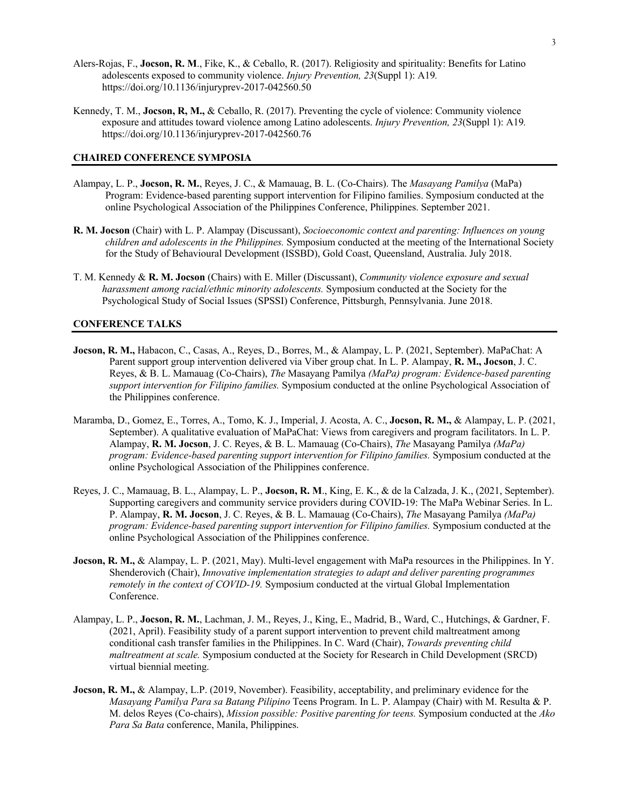- Alers-Rojas, F., **Jocson, R. M**., Fike, K., & Ceballo, R. (2017). Religiosity and spirituality: Benefits for Latino adolescents exposed to community violence. *Injury Prevention, 23*(Suppl 1): A19*.*  https://doi.org/10.1136/injuryprev-2017-042560.50
- Kennedy, T. M., **Jocson, R, M.,** & Ceballo, R. (2017). Preventing the cycle of violence: Community violence exposure and attitudes toward violence among Latino adolescents. *Injury Prevention, 23*(Suppl 1): A19*.*  https://doi.org/10.1136/injuryprev-2017-042560.76

## **CHAIRED CONFERENCE SYMPOSIA**

- Alampay, L. P., **Jocson, R. M.**, Reyes, J. C., & Mamauag, B. L. (Co-Chairs). The *Masayang Pamilya* (MaPa) Program: Evidence-based parenting support intervention for Filipino families. Symposium conducted at the online Psychological Association of the Philippines Conference, Philippines. September 2021.
- **R. M. Jocson** (Chair) with L. P. Alampay (Discussant), *Socioeconomic context and parenting: Influences on young children and adolescents in the Philippines.* Symposium conducted at the meeting of the International Society for the Study of Behavioural Development (ISSBD), Gold Coast, Queensland, Australia. July 2018.
- T. M. Kennedy & **R. M. Jocson** (Chairs) with E. Miller (Discussant), *Community violence exposure and sexual harassment among racial/ethnic minority adolescents.* Symposium conducted at the Society for the Psychological Study of Social Issues (SPSSI) Conference, Pittsburgh, Pennsylvania. June 2018.

### **CONFERENCE TALKS**

- **Jocson, R. M.,** Habacon, C., Casas, A., Reyes, D., Borres, M., & Alampay, L. P. (2021, September). MaPaChat: A Parent support group intervention delivered via Viber group chat. In L. P. Alampay, **R. M., Jocson**, J. C. Reyes, & B. L. Mamauag (Co-Chairs), *The* Masayang Pamilya *(MaPa) program: Evidence-based parenting support intervention for Filipino families.* Symposium conducted at the online Psychological Association of the Philippines conference.
- Maramba, D., Gomez, E., Torres, A., Tomo, K. J., Imperial, J. Acosta, A. C., **Jocson, R. M.,** & Alampay, L. P. (2021, September). A qualitative evaluation of MaPaChat: Views from caregivers and program facilitators. In L. P. Alampay, **R. M. Jocson**, J. C. Reyes, & B. L. Mamauag (Co-Chairs), *The* Masayang Pamilya *(MaPa) program: Evidence-based parenting support intervention for Filipino families.* Symposium conducted at the online Psychological Association of the Philippines conference.
- Reyes, J. C., Mamauag, B. L., Alampay, L. P., **Jocson, R. M**., King, E. K., & de la Calzada, J. K., (2021, September). Supporting caregivers and community service providers during COVID-19: The MaPa Webinar Series. In L. P. Alampay, **R. M. Jocson**, J. C. Reyes, & B. L. Mamauag (Co-Chairs), *The* Masayang Pamilya *(MaPa) program: Evidence-based parenting support intervention for Filipino families.* Symposium conducted at the online Psychological Association of the Philippines conference.
- **Jocson, R. M., & Alampay, L. P. (2021, May). Multi-level engagement with MaPa resources in the Philippines. In Y.** Shenderovich (Chair), *Innovative implementation strategies to adapt and deliver parenting programmes remotely in the context of COVID-19.* Symposium conducted at the virtual Global Implementation Conference.
- Alampay, L. P., **Jocson, R. M.**, Lachman, J. M., Reyes, J., King, E., Madrid, B., Ward, C., Hutchings, & Gardner, F. (2021, April). Feasibility study of a parent support intervention to prevent child maltreatment among conditional cash transfer families in the Philippines. In C. Ward (Chair), *Towards preventing child maltreatment at scale.* Symposium conducted at the Society for Research in Child Development (SRCD) virtual biennial meeting.
- **Jocson, R. M., & Alampay, L.P. (2019, November). Feasibility, acceptability, and preliminary evidence for the** *Masayang Pamilya Para sa Batang Pilipino* Teens Program. In L. P. Alampay (Chair) with M. Resulta & P. M. delos Reyes (Co-chairs), *Mission possible: Positive parenting for teens.* Symposium conducted at the *Ako Para Sa Bata* conference, Manila, Philippines.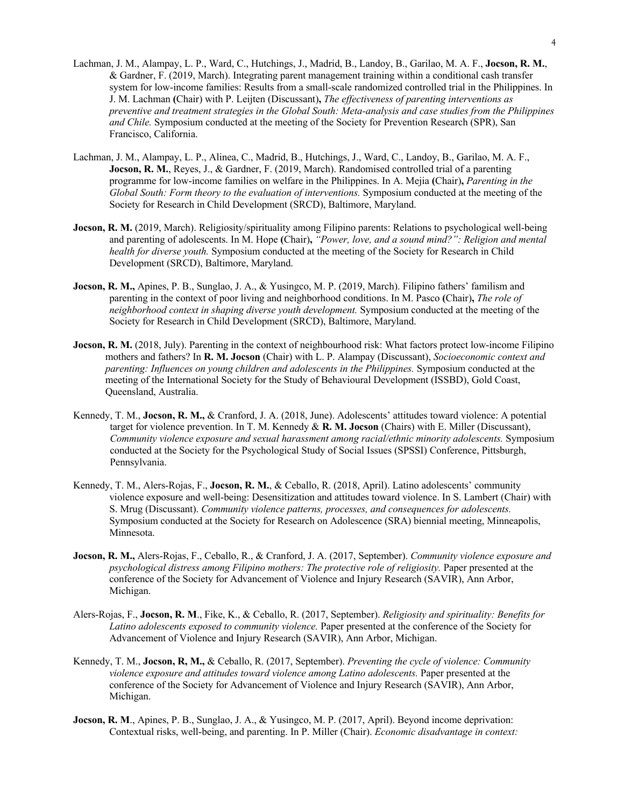- Lachman, J. M., Alampay, L. P., Ward, C., Hutchings, J., Madrid, B., Landoy, B., Garilao, M. A. F., **Jocson, R. M.**, & Gardner, F. (2019, March). Integrating parent management training within a conditional cash transfer system for low-income families: Results from a small-scale randomized controlled trial in the Philippines. In J. M. Lachman **(**Chair) with P. Leijten (Discussant)**,** *The effectiveness of parenting interventions as preventive and treatment strategies in the Global South: Meta-analysis and case studies from the Philippines and Chile.* Symposium conducted at the meeting of the Society for Prevention Research (SPR), San Francisco, California.
- Lachman, J. M., Alampay, L. P., Alinea, C., Madrid, B., Hutchings, J., Ward, C., Landoy, B., Garilao, M. A. F., **Jocson, R. M.**, Reyes, J., & Gardner, F. (2019, March). Randomised controlled trial of a parenting programme for low-income families on welfare in the Philippines. In A. Mejia **(**Chair)**,** *Parenting in the Global South: Form theory to the evaluation of interventions.* Symposium conducted at the meeting of the Society for Research in Child Development (SRCD), Baltimore, Maryland.
- **Jocson, R. M.** (2019, March). Religiosity/spirituality among Filipino parents: Relations to psychological well-being and parenting of adolescents. In M. Hope **(**Chair)**,** *"Power, love, and a sound mind?": Religion and mental health for diverse youth.* Symposium conducted at the meeting of the Society for Research in Child Development (SRCD), Baltimore, Maryland.
- **Jocson, R. M.,** Apines, P. B., Sunglao, J. A., & Yusingco, M. P. (2019, March). Filipino fathers' familism and parenting in the context of poor living and neighborhood conditions. In M. Pasco **(**Chair)**,** *The role of neighborhood context in shaping diverse youth development.* Symposium conducted at the meeting of the Society for Research in Child Development (SRCD), Baltimore, Maryland.
- **Jocson, R. M.** (2018, July). Parenting in the context of neighbourhood risk: What factors protect low-income Filipino mothers and fathers? In **R. M. Jocson** (Chair) with L. P. Alampay (Discussant), *Socioeconomic context and parenting: Influences on young children and adolescents in the Philippines.* Symposium conducted at the meeting of the International Society for the Study of Behavioural Development (ISSBD), Gold Coast, Queensland, Australia.
- Kennedy, T. M., **Jocson, R. M.,** & Cranford, J. A. (2018, June). Adolescents' attitudes toward violence: A potential target for violence prevention. In T. M. Kennedy & **R. M. Jocson** (Chairs) with E. Miller (Discussant), *Community violence exposure and sexual harassment among racial/ethnic minority adolescents.* Symposium conducted at the Society for the Psychological Study of Social Issues (SPSSI) Conference, Pittsburgh, Pennsylvania.
- Kennedy, T. M., Alers-Rojas, F., **Jocson, R. M.**, & Ceballo, R. (2018, April). Latino adolescents' community violence exposure and well-being: Desensitization and attitudes toward violence. In S. Lambert (Chair) with S. Mrug (Discussant). *Community violence patterns, processes, and consequences for adolescents.* Symposium conducted at the Society for Research on Adolescence (SRA) biennial meeting, Minneapolis, Minnesota.
- **Jocson, R. M.,** Alers-Rojas, F., Ceballo, R., & Cranford, J. A. (2017, September). *Community violence exposure and psychological distress among Filipino mothers: The protective role of religiosity.* Paper presented at the conference of the Society for Advancement of Violence and Injury Research (SAVIR), Ann Arbor, Michigan.
- Alers-Rojas, F., **Jocson, R. M**., Fike, K., & Ceballo, R. (2017, September). *Religiosity and spirituality: Benefits for Latino adolescents exposed to community violence.* Paper presented at the conference of the Society for Advancement of Violence and Injury Research (SAVIR), Ann Arbor, Michigan.
- Kennedy, T. M., **Jocson, R, M.,** & Ceballo, R. (2017, September). *Preventing the cycle of violence: Community violence exposure and attitudes toward violence among Latino adolescents.* Paper presented at the conference of the Society for Advancement of Violence and Injury Research (SAVIR), Ann Arbor, Michigan.
- **Jocson, R. M**., Apines, P. B., Sunglao, J. A., & Yusingco, M. P. (2017, April). Beyond income deprivation: Contextual risks, well-being, and parenting. In P. Miller (Chair). *Economic disadvantage in context:*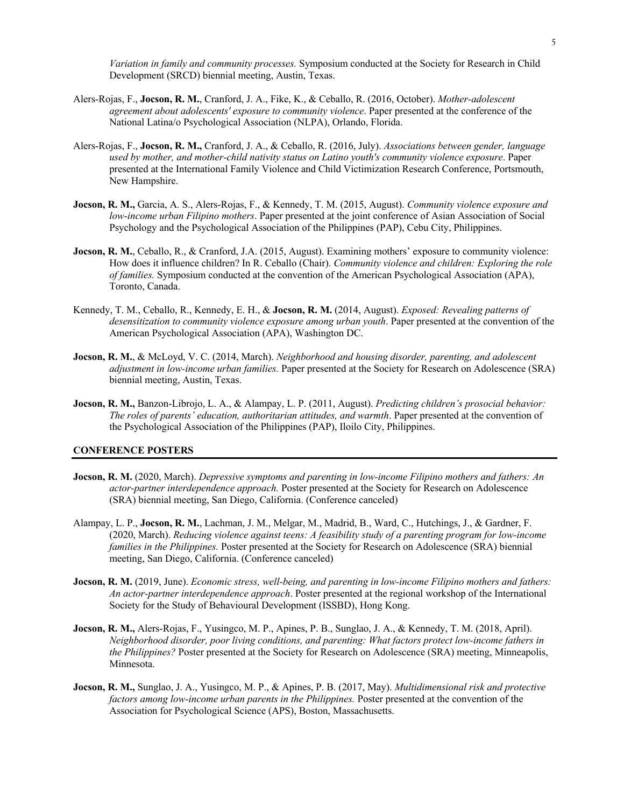*Variation in family and community processes.* Symposium conducted at the Society for Research in Child Development (SRCD) biennial meeting, Austin, Texas.

- Alers-Rojas, F., **Jocson, R. M.**, Cranford, J. A., Fike, K., & Ceballo, R. (2016, October). *Mother-adolescent agreement about adolescents' exposure to community violence*. Paper presented at the conference of the National Latina/o Psychological Association (NLPA), Orlando, Florida.
- Alers-Rojas, F., **Jocson, R. M.,** Cranford, J. A., & Ceballo, R. (2016, July). *Associations between gender, language used by mother, and mother-child nativity status on Latino youth's community violence exposure*. Paper presented at the International Family Violence and Child Victimization Research Conference, Portsmouth, New Hampshire.
- **Jocson, R. M.,** Garcia, A. S., Alers-Rojas, F., & Kennedy, T. M. (2015, August). *Community violence exposure and low-income urban Filipino mothers*. Paper presented at the joint conference of Asian Association of Social Psychology and the Psychological Association of the Philippines (PAP), Cebu City, Philippines.
- **Jocson, R. M.,** Ceballo, R., & Cranford, J.A. (2015, August). Examining mothers' exposure to community violence: How does it influence children? In R. Ceballo (Chair). *Community violence and children: Exploring the role of families.* Symposium conducted at the convention of the American Psychological Association (APA), Toronto, Canada.
- Kennedy, T. M., Ceballo, R., Kennedy, E. H., & **Jocson, R. M.** (2014, August). *Exposed: Revealing patterns of desensitization to community violence exposure among urban youth*. Paper presented at the convention of the American Psychological Association (APA), Washington DC.
- **Jocson, R. M.**, & McLoyd, V. C. (2014, March). *Neighborhood and housing disorder, parenting, and adolescent adjustment in low-income urban families.* Paper presented at the Society for Research on Adolescence (SRA) biennial meeting, Austin, Texas.
- **Jocson, R. M.,** Banzon-Librojo, L. A., & Alampay, L. P. (2011, August). *Predicting children's prosocial behavior: The roles of parents' education, authoritarian attitudes, and warmth*. Paper presented at the convention of the Psychological Association of the Philippines (PAP), Iloilo City, Philippines.

#### **CONFERENCE POSTERS**

- **Jocson, R. M.** (2020, March). *Depressive symptoms and parenting in low-income Filipino mothers and fathers: An actor-partner interdependence approach.* Poster presented at the Society for Research on Adolescence (SRA) biennial meeting, San Diego, California. (Conference canceled)
- Alampay, L. P., **Jocson, R. M.**, Lachman, J. M., Melgar, M., Madrid, B., Ward, C., Hutchings, J., & Gardner, F. (2020, March). *Reducing violence against teens: A feasibility study of a parenting program for low-income families in the Philippines.* Poster presented at the Society for Research on Adolescence (SRA) biennial meeting, San Diego, California. (Conference canceled)
- **Jocson, R. M.** (2019, June). *Economic stress, well-being, and parenting in low-income Filipino mothers and fathers: An actor-partner interdependence approach*. Poster presented at the regional workshop of the International Society for the Study of Behavioural Development (ISSBD), Hong Kong.
- **Jocson, R. M.,** Alers-Rojas, F., Yusingco, M. P., Apines, P. B., Sunglao, J. A., & Kennedy, T. M. (2018, April). *Neighborhood disorder, poor living conditions, and parenting: What factors protect low-income fathers in the Philippines?* Poster presented at the Society for Research on Adolescence (SRA) meeting, Minneapolis, Minnesota.
- **Jocson, R. M.,** Sunglao, J. A., Yusingco, M. P., & Apines, P. B. (2017, May). *Multidimensional risk and protective factors among low-income urban parents in the Philippines.* Poster presented at the convention of the Association for Psychological Science (APS), Boston, Massachusetts.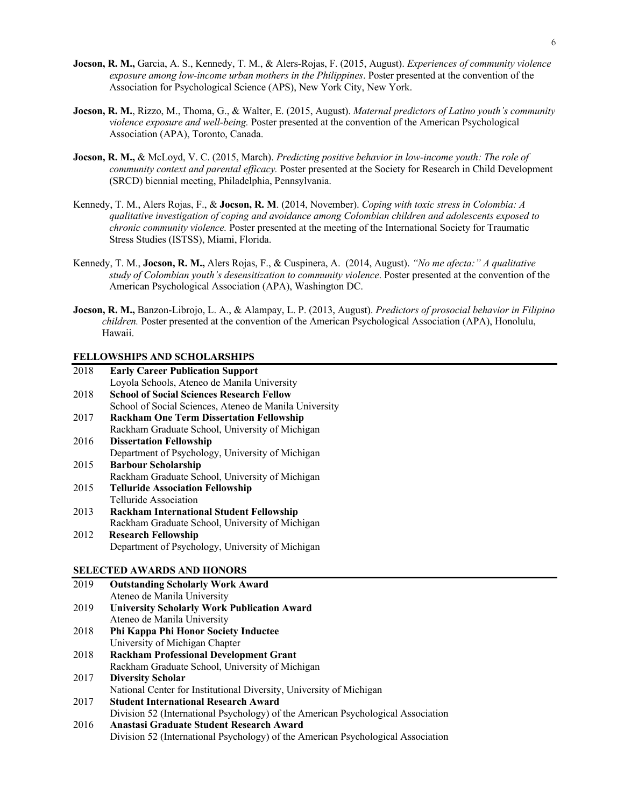- **Jocson, R. M.,** Garcia, A. S., Kennedy, T. M., & Alers-Rojas, F. (2015, August). *Experiences of community violence exposure among low-income urban mothers in the Philippines*. Poster presented at the convention of the Association for Psychological Science (APS), New York City, New York.
- **Jocson, R. M.**, Rizzo, M., Thoma, G., & Walter, E. (2015, August). *Maternal predictors of Latino youth's community violence exposure and well-being.* Poster presented at the convention of the American Psychological Association (APA), Toronto, Canada.
- **Jocson, R. M.,** & McLoyd, V. C. (2015, March). *Predicting positive behavior in low-income youth: The role of community context and parental efficacy.* Poster presented at the Society for Research in Child Development (SRCD) biennial meeting, Philadelphia, Pennsylvania.
- Kennedy, T. M., Alers Rojas, F., & **Jocson, R. M**. (2014, November). *Coping with toxic stress in Colombia: A qualitative investigation of coping and avoidance among Colombian children and adolescents exposed to chronic community violence.* Poster presented at the meeting of the International Society for Traumatic Stress Studies (ISTSS), Miami, Florida.
- Kennedy, T. M., **Jocson, R. M.,** Alers Rojas, F., & Cuspinera, A. (2014, August). *"No me afecta:" A qualitative study of Colombian youth's desensitization to community violence*. Poster presented at the convention of the American Psychological Association (APA), Washington DC.
- **Jocson, R. M.,** Banzon-Librojo, L. A., & Alampay, L. P. (2013, August). *Predictors of prosocial behavior in Filipino children.* Poster presented at the convention of the American Psychological Association (APA), Honolulu, Hawaii.

# **FELLOWSHIPS AND SCHOLARSHIPS**

| 2018 | <b>Early Career Publication Support</b>                |
|------|--------------------------------------------------------|
|      | Loyola Schools, Ateneo de Manila University            |
| 2018 | <b>School of Social Sciences Research Fellow</b>       |
|      | School of Social Sciences, Ateneo de Manila University |
| 2017 | <b>Rackham One Term Dissertation Fellowship</b>        |
|      | Rackham Graduate School, University of Michigan        |
| 2016 | <b>Dissertation Fellowship</b>                         |
|      | Department of Psychology, University of Michigan       |
| 2015 | <b>Barbour Scholarship</b>                             |
|      | Rackham Graduate School, University of Michigan        |
| 2015 | <b>Telluride Association Fellowship</b>                |
|      | Telluride Association                                  |
| 2013 | <b>Rackham International Student Fellowship</b>        |
|      | Rackham Graduate School, University of Michigan        |
| 2012 | <b>Research Fellowship</b>                             |
|      | Department of Psychology, University of Michigan       |
|      | <b>SELECTED AWARDS AND HONORS</b>                      |
|      |                                                        |
| 2019 | <b>Outstanding Scholarly Work Award</b>                |
|      | Ateneo de Manila University                            |

|      | Ateneo de Manila University                                                      |
|------|----------------------------------------------------------------------------------|
| 2019 | <b>University Scholarly Work Publication Award</b>                               |
|      | Ateneo de Manila University                                                      |
| 2018 | Phi Kappa Phi Honor Society Inductee                                             |
|      | University of Michigan Chapter                                                   |
| 2018 | <b>Rackham Professional Development Grant</b>                                    |
|      | Rackham Graduate School, University of Michigan                                  |
| 2017 | <b>Diversity Scholar</b>                                                         |
|      | National Center for Institutional Diversity, University of Michigan              |
| 2017 | <b>Student International Research Award</b>                                      |
|      | Division 52 (International Psychology) of the American Psychological Association |
| 2016 | Anastasi Graduate Student Research Award                                         |
|      | Division 52 (International Psychology) of the American Psychological Association |
|      |                                                                                  |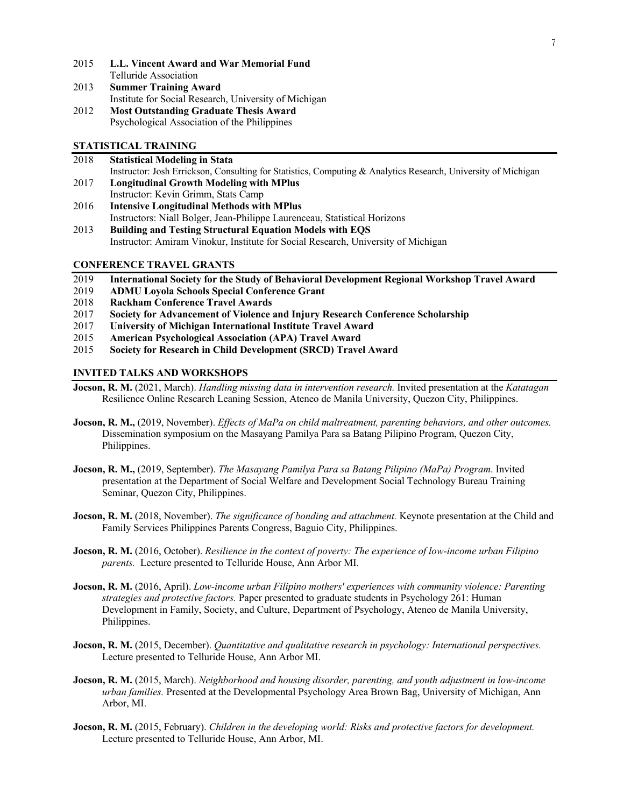- 2015 **L.L. Vincent Award and War Memorial Fund**  Telluride Association
- 2013 **Summer Training Award** Institute for Social Research, University of Michigan 2012 **Most Outstanding Graduate Thesis Award** Psychological Association of the Philippines

# **STATISTICAL TRAINING**

| 2018 | <b>Statistical Modeling in Stata</b>                                                                          |
|------|---------------------------------------------------------------------------------------------------------------|
|      | Instructor: Josh Errickson, Consulting for Statistics, Computing & Analytics Research, University of Michigan |
| 2017 | <b>Longitudinal Growth Modeling with MPlus</b>                                                                |
|      | Instructor: Kevin Grimm, Stats Camp                                                                           |

- 2016 **Intensive Longitudinal Methods with MPlus** Instructors: Niall Bolger, Jean-Philippe Laurenceau, Statistical Horizons
- 2013 **Building and Testing Structural Equation Models with EQS** Instructor: Amiram Vinokur, Institute for Social Research, University of Michigan

# **CONFERENCE TRAVEL GRANTS**

- 2019 **International Society for the Study of Behavioral Development Regional Workshop Travel Award**
- 2019 **ADMU Loyola Schools Special Conference Grant**
- 2018 **Rackham Conference Travel Awards**
- 2017 **Society for Advancement of Violence and Injury Research Conference Scholarship**
- 2017 **University of Michigan International Institute Travel Award**
- 2015 **American Psychological Association (APA) Travel Award**
- 2015 **Society for Research in Child Development (SRCD) Travel Award**

# **INVITED TALKS AND WORKSHOPS**

- **Jocson, R. M.** (2021, March). *Handling missing data in intervention research.* Invited presentation at the *Katatagan* Resilience Online Research Leaning Session, Ateneo de Manila University, Quezon City, Philippines.
- **Jocson, R. M.,** (2019, November). *Effects of MaPa on child maltreatment, parenting behaviors, and other outcomes.*  Dissemination symposium on the Masayang Pamilya Para sa Batang Pilipino Program, Quezon City, Philippines.
- **Jocson, R. M.,** (2019, September). *The Masayang Pamilya Para sa Batang Pilipino (MaPa) Program*. Invited presentation at the Department of Social Welfare and Development Social Technology Bureau Training Seminar, Quezon City, Philippines.
- **Jocson, R. M.** (2018, November). *The significance of bonding and attachment.* Keynote presentation at the Child and Family Services Philippines Parents Congress, Baguio City, Philippines.
- **Jocson, R. M.** (2016, October). *Resilience in the context of poverty: The experience of low-income urban Filipino parents.* Lecture presented to Telluride House, Ann Arbor MI.
- **Jocson, R. M.** (2016, April). *Low-income urban Filipino mothers' experiences with community violence: Parenting strategies and protective factors.* Paper presented to graduate students in Psychology 261: Human Development in Family, Society, and Culture, Department of Psychology, Ateneo de Manila University, Philippines.
- **Jocson, R. M.** (2015, December). *Quantitative and qualitative research in psychology: International perspectives.*  Lecture presented to Telluride House, Ann Arbor MI.
- **Jocson, R. M.** (2015, March). *Neighborhood and housing disorder, parenting, and youth adjustment in low-income urban families.* Presented at the Developmental Psychology Area Brown Bag, University of Michigan, Ann Arbor, MI.
- **Jocson, R. M.** (2015, February). *Children in the developing world: Risks and protective factors for development.*  Lecture presented to Telluride House, Ann Arbor, MI.